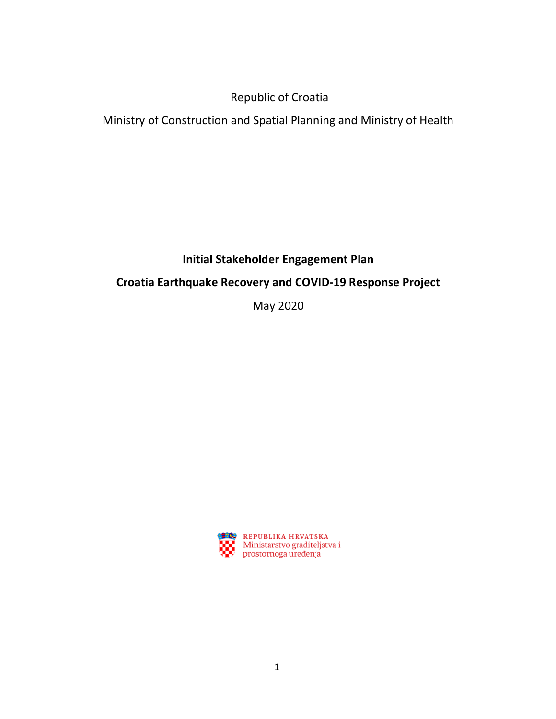# Republic of Croatia

Ministry of Construction and Spatial Planning and Ministry of Health

## **Initial Stakeholder Engagement Plan**

# **Croatia Earthquake Recovery and COVID-19 Response Project**

May 2020

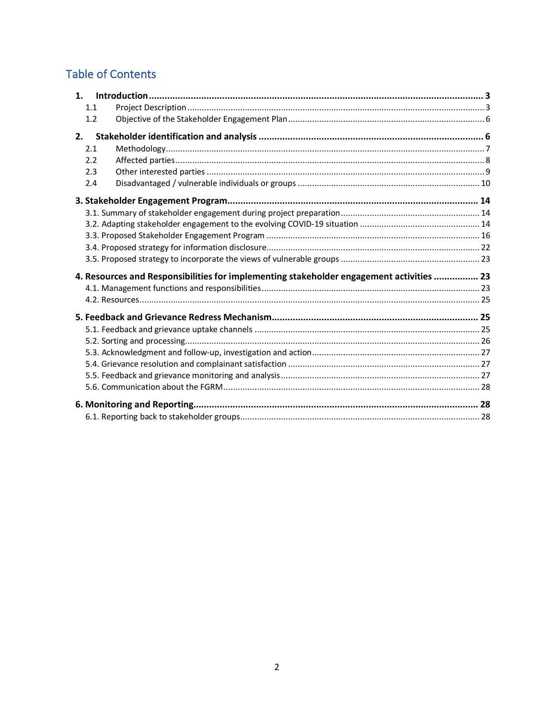# **Table of Contents**

| 1.1                                                                                      |  |
|------------------------------------------------------------------------------------------|--|
| 1.2                                                                                      |  |
| 2.                                                                                       |  |
| 2.1                                                                                      |  |
| 2.2                                                                                      |  |
| 2.3                                                                                      |  |
| 2.4                                                                                      |  |
|                                                                                          |  |
|                                                                                          |  |
|                                                                                          |  |
|                                                                                          |  |
|                                                                                          |  |
|                                                                                          |  |
|                                                                                          |  |
| 4. Resources and Responsibilities for implementing stakeholder engagement activities  23 |  |
|                                                                                          |  |
|                                                                                          |  |
|                                                                                          |  |
|                                                                                          |  |
|                                                                                          |  |
|                                                                                          |  |
|                                                                                          |  |
|                                                                                          |  |
|                                                                                          |  |
|                                                                                          |  |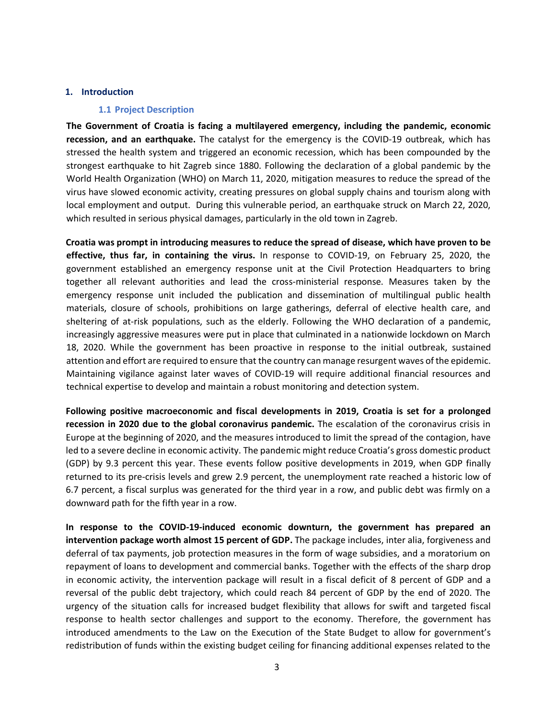#### **1. Introduction**

#### **1.1 Project Description**

**The Government of Croatia is facing a multilayered emergency, including the pandemic, economic recession, and an earthquake.** The catalyst for the emergency is the COVID-19 outbreak, which has stressed the health system and triggered an economic recession, which has been compounded by the strongest earthquake to hit Zagreb since 1880. Following the declaration of a global pandemic by the World Health Organization (WHO) on March 11, 2020, mitigation measures to reduce the spread of the virus have slowed economic activity, creating pressures on global supply chains and tourism along with local employment and output. During this vulnerable period, an earthquake struck on March 22, 2020, which resulted in serious physical damages, particularly in the old town in Zagreb.

**Croatia was prompt in introducing measures to reduce the spread of disease, which have proven to be effective, thus far, in containing the virus.** In response to COVID-19, on February 25, 2020, the government established an emergency response unit at the Civil Protection Headquarters to bring together all relevant authorities and lead the cross-ministerial response. Measures taken by the emergency response unit included the publication and dissemination of multilingual public health materials, closure of schools, prohibitions on large gatherings, deferral of elective health care, and sheltering of at-risk populations, such as the elderly. Following the WHO declaration of a pandemic, increasingly aggressive measures were put in place that culminated in a nationwide lockdown on March 18, 2020. While the government has been proactive in response to the initial outbreak, sustained attention and effort are required to ensure that the country can manage resurgent waves of the epidemic. Maintaining vigilance against later waves of COVID-19 will require additional financial resources and technical expertise to develop and maintain a robust monitoring and detection system.

**Following positive macroeconomic and fiscal developments in 2019, Croatia is set for a prolonged recession in 2020 due to the global coronavirus pandemic.** The escalation of the coronavirus crisis in Europe at the beginning of 2020, and the measures introduced to limit the spread of the contagion, have led to a severe decline in economic activity. The pandemic might reduce Croatia's gross domestic product (GDP) by 9.3 percent this year. These events follow positive developments in 2019, when GDP finally returned to its pre-crisis levels and grew 2.9 percent, the unemployment rate reached a historic low of 6.7 percent, a fiscal surplus was generated for the third year in a row, and public debt was firmly on a downward path for the fifth year in a row.

**In response to the COVID-19-induced economic downturn, the government has prepared an intervention package worth almost 15 percent of GDP.** The package includes, inter alia, forgiveness and deferral of tax payments, job protection measures in the form of wage subsidies, and a moratorium on repayment of loans to development and commercial banks. Together with the effects of the sharp drop in economic activity, the intervention package will result in a fiscal deficit of 8 percent of GDP and a reversal of the public debt trajectory, which could reach 84 percent of GDP by the end of 2020. The urgency of the situation calls for increased budget flexibility that allows for swift and targeted fiscal response to health sector challenges and support to the economy. Therefore, the government has introduced amendments to the Law on the Execution of the State Budget to allow for government's redistribution of funds within the existing budget ceiling for financing additional expenses related to the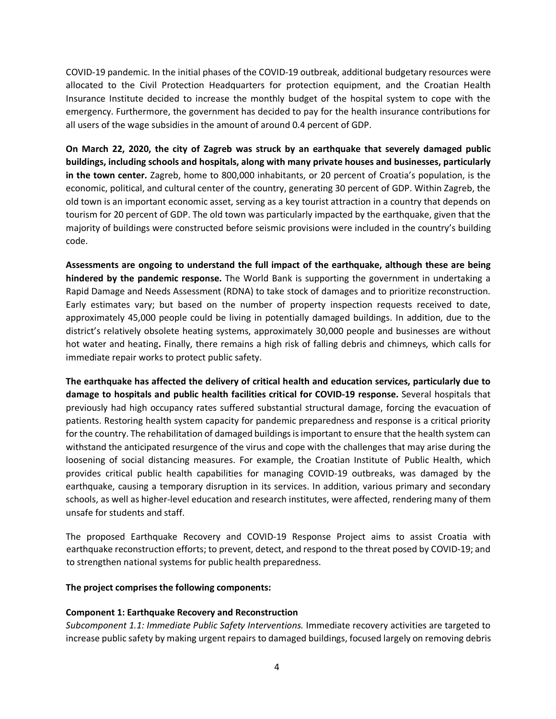COVID-19 pandemic. In the initial phases of the COVID-19 outbreak, additional budgetary resources were allocated to the Civil Protection Headquarters for protection equipment, and the Croatian Health Insurance Institute decided to increase the monthly budget of the hospital system to cope with the emergency. Furthermore, the government has decided to pay for the health insurance contributions for all users of the wage subsidies in the amount of around 0.4 percent of GDP.

**On March 22, 2020, the city of Zagreb was struck by an earthquake that severely damaged public buildings, including schools and hospitals, along with many private houses and businesses, particularly in the town center.** Zagreb, home to 800,000 inhabitants, or 20 percent of Croatia's population, is the economic, political, and cultural center of the country, generating 30 percent of GDP. Within Zagreb, the old town is an important economic asset, serving as a key tourist attraction in a country that depends on tourism for 20 percent of GDP. The old town was particularly impacted by the earthquake, given that the majority of buildings were constructed before seismic provisions were included in the country's building code.

**Assessments are ongoing to understand the full impact of the earthquake, although these are being hindered by the pandemic response.** The World Bank is supporting the government in undertaking a Rapid Damage and Needs Assessment (RDNA) to take stock of damages and to prioritize reconstruction. Early estimates vary; but based on the number of property inspection requests received to date, approximately 45,000 people could be living in potentially damaged buildings. In addition, due to the district's relatively obsolete heating systems, approximately 30,000 people and businesses are without hot water and heating**.** Finally, there remains a high risk of falling debris and chimneys, which calls for immediate repair works to protect public safety.

**The earthquake has affected the delivery of critical health and education services, particularly due to damage to hospitals and public health facilities critical for COVID-19 response.** Several hospitals that previously had high occupancy rates suffered substantial structural damage, forcing the evacuation of patients. Restoring health system capacity for pandemic preparedness and response is a critical priority for the country. The rehabilitation of damaged buildings is important to ensure that the health system can withstand the anticipated resurgence of the virus and cope with the challenges that may arise during the loosening of social distancing measures. For example, the Croatian Institute of Public Health, which provides critical public health capabilities for managing COVID-19 outbreaks, was damaged by the earthquake, causing a temporary disruption in its services. In addition, various primary and secondary schools, as well as higher-level education and research institutes, were affected, rendering many of them unsafe for students and staff.

The proposed Earthquake Recovery and COVID-19 Response Project aims to assist Croatia with earthquake reconstruction efforts; to prevent, detect, and respond to the threat posed by COVID-19; and to strengthen national systems for public health preparedness.

#### **The project comprises the following components:**

#### **Component 1: Earthquake Recovery and Reconstruction**

*Subcomponent 1.1: Immediate Public Safety Interventions.* Immediate recovery activities are targeted to increase public safety by making urgent repairs to damaged buildings, focused largely on removing debris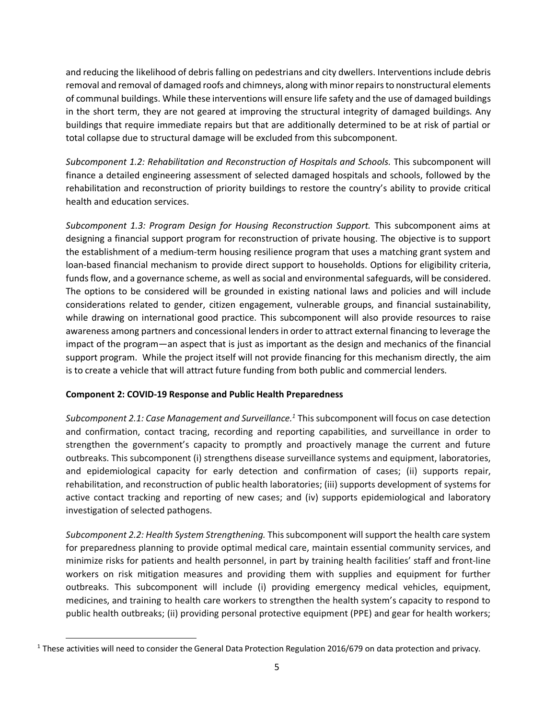and reducing the likelihood of debris falling on pedestrians and city dwellers. Interventions include debris removal and removal of damaged roofs and chimneys, along with minor repairs to nonstructural elements of communal buildings. While these interventions will ensure life safety and the use of damaged buildings in the short term, they are not geared at improving the structural integrity of damaged buildings. Any buildings that require immediate repairs but that are additionally determined to be at risk of partial or total collapse due to structural damage will be excluded from this subcomponent.

*Subcomponent 1.2: Rehabilitation and Reconstruction of Hospitals and Schools.* This subcomponent will finance a detailed engineering assessment of selected damaged hospitals and schools, followed by the rehabilitation and reconstruction of priority buildings to restore the country's ability to provide critical health and education services.

*Subcomponent 1.3: Program Design for Housing Reconstruction Support.* This subcomponent aims at designing a financial support program for reconstruction of private housing. The objective is to support the establishment of a medium-term housing resilience program that uses a matching grant system and loan-based financial mechanism to provide direct support to households. Options for eligibility criteria, funds flow, and a governance scheme, as well as social and environmental safeguards, will be considered. The options to be considered will be grounded in existing national laws and policies and will include considerations related to gender, citizen engagement, vulnerable groups, and financial sustainability, while drawing on international good practice. This subcomponent will also provide resources to raise awareness among partners and concessional lenders in order to attract external financing to leverage the impact of the program—an aspect that is just as important as the design and mechanics of the financial support program. While the project itself will not provide financing for this mechanism directly, the aim is to create a vehicle that will attract future funding from both public and commercial lenders.

#### **Component 2: COVID-19 Response and Public Health Preparedness**

*Subcomponent 2.1: Case Management and Surveillance.1* This subcomponent will focus on case detection and confirmation, contact tracing, recording and reporting capabilities, and surveillance in order to strengthen the government's capacity to promptly and proactively manage the current and future outbreaks. This subcomponent (i) strengthens disease surveillance systems and equipment, laboratories, and epidemiological capacity for early detection and confirmation of cases; (ii) supports repair, rehabilitation, and reconstruction of public health laboratories; (iii) supports development of systems for active contact tracking and reporting of new cases; and (iv) supports epidemiological and laboratory investigation of selected pathogens.

*Subcomponent 2.2: Health System Strengthening.* This subcomponent will support the health care system for preparedness planning to provide optimal medical care, maintain essential community services, and minimize risks for patients and health personnel, in part by training health facilities' staff and front-line workers on risk mitigation measures and providing them with supplies and equipment for further outbreaks. This subcomponent will include (i) providing emergency medical vehicles, equipment, medicines, and training to health care workers to strengthen the health system's capacity to respond to public health outbreaks; (ii) providing personal protective equipment (PPE) and gear for health workers;

 $1$  These activities will need to consider the General Data Protection Regulation 2016/679 on data protection and privacy.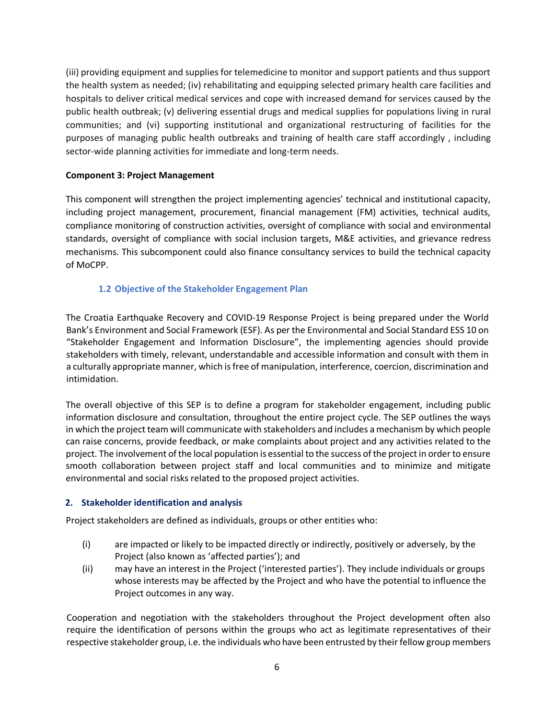(iii) providing equipment and supplies for telemedicine to monitor and support patients and thus support the health system as needed; (iv) rehabilitating and equipping selected primary health care facilities and hospitals to deliver critical medical services and cope with increased demand for services caused by the public health outbreak; (v) delivering essential drugs and medical supplies for populations living in rural communities; and (vi) supporting institutional and organizational restructuring of facilities for the purposes of managing public health outbreaks and training of health care staff accordingly , including sector-wide planning activities for immediate and long-term needs.

#### **Component 3: Project Management**

This component will strengthen the project implementing agencies' technical and institutional capacity, including project management, procurement, financial management (FM) activities, technical audits, compliance monitoring of construction activities, oversight of compliance with social and environmental standards, oversight of compliance with social inclusion targets, M&E activities, and grievance redress mechanisms. This subcomponent could also finance consultancy services to build the technical capacity of MoCPP.

#### **1.2 Objective of the Stakeholder Engagement Plan**

The Croatia Earthquake Recovery and COVID-19 Response Project is being prepared under the World Bank's Environment and Social Framework (ESF). As per the Environmental and Social Standard ESS 10 on "Stakeholder Engagement and Information Disclosure", the implementing agencies should provide stakeholders with timely, relevant, understandable and accessible information and consult with them in a culturally appropriate manner, which is free of manipulation, interference, coercion, discrimination and intimidation.

The overall objective of this SEP is to define a program for stakeholder engagement, including public information disclosure and consultation, throughout the entire project cycle. The SEP outlines the ways in which the project team will communicate with stakeholders and includes a mechanism by which people can raise concerns, provide feedback, or make complaints about project and any activities related to the project. The involvement of the local population is essential to the success of the project in order to ensure smooth collaboration between project staff and local communities and to minimize and mitigate environmental and social risks related to the proposed project activities.

#### **2. Stakeholder identification and analysis**

Project stakeholders are defined as individuals, groups or other entities who:

- (i) are impacted or likely to be impacted directly or indirectly, positively or adversely, by the Project (also known as 'affected parties'); and
- (ii) may have an interest in the Project ('interested parties'). They include individuals or groups whose interests may be affected by the Project and who have the potential to influence the Project outcomes in any way.

Cooperation and negotiation with the stakeholders throughout the Project development often also require the identification of persons within the groups who act as legitimate representatives of their respective stakeholder group, i.e. the individuals who have been entrusted by their fellow group members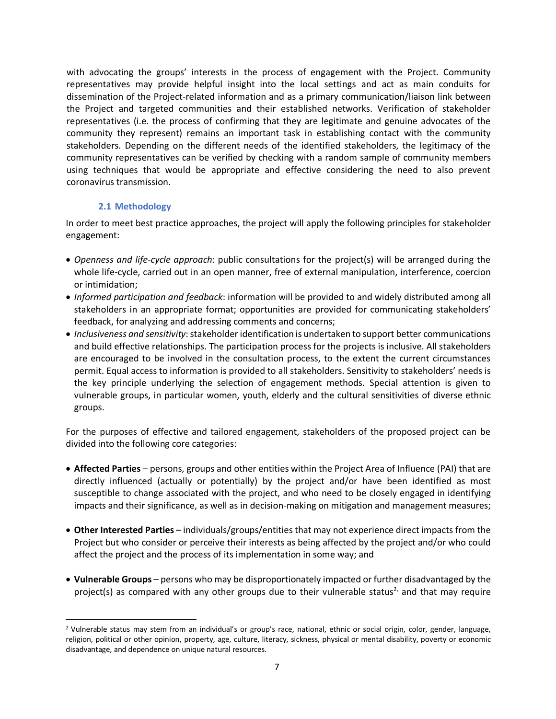with advocating the groups' interests in the process of engagement with the Project. Community representatives may provide helpful insight into the local settings and act as main conduits for dissemination of the Project-related information and as a primary communication/liaison link between the Project and targeted communities and their established networks. Verification of stakeholder representatives (i.e. the process of confirming that they are legitimate and genuine advocates of the community they represent) remains an important task in establishing contact with the community stakeholders. Depending on the different needs of the identified stakeholders, the legitimacy of the community representatives can be verified by checking with a random sample of community members using techniques that would be appropriate and effective considering the need to also prevent coronavirus transmission.

#### **2.1 Methodology**

In order to meet best practice approaches, the project will apply the following principles for stakeholder engagement:

- *Openness and life-cycle approach*: public consultations for the project(s) will be arranged during the whole life-cycle, carried out in an open manner, free of external manipulation, interference, coercion or intimidation;
- *Informed participation and feedback*: information will be provided to and widely distributed among all stakeholders in an appropriate format; opportunities are provided for communicating stakeholders' feedback, for analyzing and addressing comments and concerns;
- *Inclusiveness and sensitivity*: stakeholder identification is undertaken to support better communications and build effective relationships. The participation process for the projects is inclusive. All stakeholders are encouraged to be involved in the consultation process, to the extent the current circumstances permit. Equal access to information is provided to all stakeholders. Sensitivity to stakeholders' needs is the key principle underlying the selection of engagement methods. Special attention is given to vulnerable groups, in particular women, youth, elderly and the cultural sensitivities of diverse ethnic groups.

For the purposes of effective and tailored engagement, stakeholders of the proposed project can be divided into the following core categories:

- **Affected Parties** persons, groups and other entities within the Project Area of Influence (PAI) that are directly influenced (actually or potentially) by the project and/or have been identified as most susceptible to change associated with the project, and who need to be closely engaged in identifying impacts and their significance, as well as in decision-making on mitigation and management measures;
- **Other Interested Parties** individuals/groups/entities that may not experience direct impacts from the Project but who consider or perceive their interests as being affected by the project and/or who could affect the project and the process of its implementation in some way; and
- **Vulnerable Groups** persons who may be disproportionately impacted or further disadvantaged by the project(s) as compared with any other groups due to their vulnerable status<sup>2</sup> and that may require

 <sup>2</sup> Vulnerable status may stem from an individual's or group's race, national, ethnic or social origin, color, gender, language, religion, political or other opinion, property, age, culture, literacy, sickness, physical or mental disability, poverty or economic disadvantage, and dependence on unique natural resources.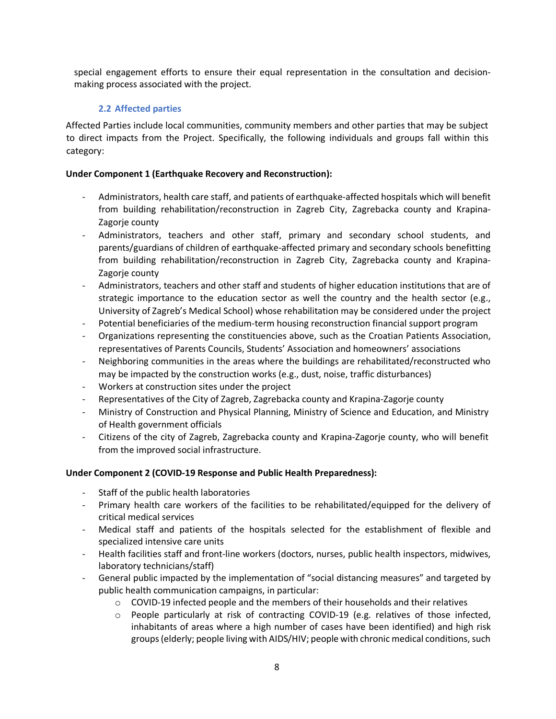special engagement efforts to ensure their equal representation in the consultation and decisionmaking process associated with the project.

#### **2.2 Affected parties**

Affected Parties include local communities, community members and other parties that may be subject to direct impacts from the Project. Specifically, the following individuals and groups fall within this category:

#### **Under Component 1 (Earthquake Recovery and Reconstruction):**

- Administrators, health care staff, and patients of earthquake-affected hospitals which will benefit from building rehabilitation/reconstruction in Zagreb City, Zagrebacka county and Krapina-Zagorje county
- Administrators, teachers and other staff, primary and secondary school students, and parents/guardians of children of earthquake-affected primary and secondary schools benefitting from building rehabilitation/reconstruction in Zagreb City, Zagrebacka county and Krapina-Zagorje county
- Administrators, teachers and other staff and students of higher education institutions that are of strategic importance to the education sector as well the country and the health sector (e.g., University of Zagreb's Medical School) whose rehabilitation may be considered under the project
- Potential beneficiaries of the medium-term housing reconstruction financial support program
- Organizations representing the constituencies above, such as the Croatian Patients Association, representatives of Parents Councils, Students' Association and homeowners' associations
- Neighboring communities in the areas where the buildings are rehabilitated/reconstructed who may be impacted by the construction works (e.g., dust, noise, traffic disturbances)
- Workers at construction sites under the project
- Representatives of the City of Zagreb, Zagrebacka county and Krapina-Zagorje county
- Ministry of Construction and Physical Planning, Ministry of Science and Education, and Ministry of Health government officials
- Citizens of the city of Zagreb, Zagrebacka county and Krapina-Zagorje county, who will benefit from the improved social infrastructure.

#### **Under Component 2 (COVID-19 Response and Public Health Preparedness):**

- Staff of the public health laboratories
- Primary health care workers of the facilities to be rehabilitated/equipped for the delivery of critical medical services
- Medical staff and patients of the hospitals selected for the establishment of flexible and specialized intensive care units
- Health facilities staff and front-line workers (doctors, nurses, public health inspectors, midwives, laboratory technicians/staff)
- General public impacted by the implementation of "social distancing measures" and targeted by public health communication campaigns, in particular:
	- $\circ$  COVID-19 infected people and the members of their households and their relatives
	- o People particularly at risk of contracting COVID-19 (e.g. relatives of those infected, inhabitants of areas where a high number of cases have been identified) and high risk groups (elderly; people living with AIDS/HIV; people with chronic medical conditions, such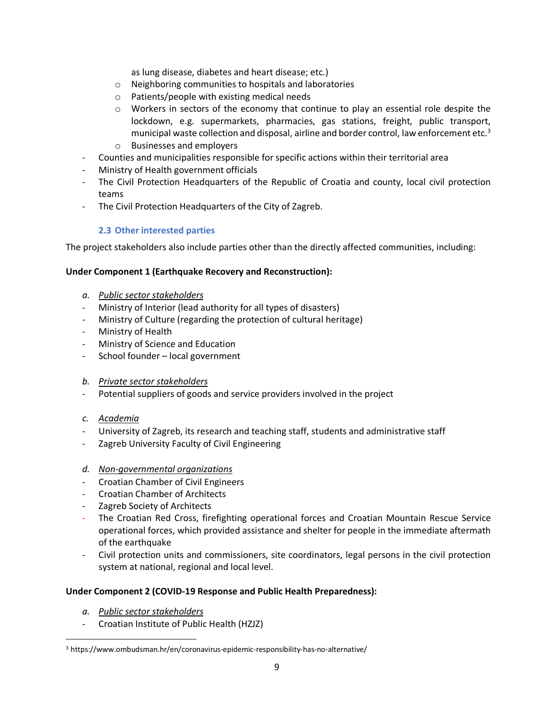as lung disease, diabetes and heart disease; etc.)

- o Neighboring communities to hospitals and laboratories
- o Patients/people with existing medical needs
- $\circ$  Workers in sectors of the economy that continue to play an essential role despite the lockdown, e.g. supermarkets, pharmacies, gas stations, freight, public transport, municipal waste collection and disposal, airline and border control, law enforcement etc.<sup>3</sup>
- o Businesses and employers
- Counties and municipalities responsible for specific actions within their territorial area
- Ministry of Health government officials
- The Civil Protection Headquarters of the Republic of Croatia and county, local civil protection teams
- The Civil Protection Headquarters of the City of Zagreb.

#### **2.3 Other interested parties**

The project stakeholders also include parties other than the directly affected communities, including:

#### **Under Component 1 (Earthquake Recovery and Reconstruction):**

- *a. Public sector stakeholders*
- Ministry of Interior (lead authority for all types of disasters)
- Ministry of Culture (regarding the protection of cultural heritage)
- Ministry of Health
- Ministry of Science and Education
- School founder local government
- *b. Private sector stakeholders*
- Potential suppliers of goods and service providers involved in the project
- *c. Academia*
- University of Zagreb, its research and teaching staff, students and administrative staff
- Zagreb University Faculty of Civil Engineering

#### *d. Non-governmental organizations*

- Croatian Chamber of Civil Engineers
- Croatian Chamber of Architects
- Zagreb Society of Architects
- The Croatian Red Cross, firefighting operational forces and Croatian Mountain Rescue Service operational forces, which provided assistance and shelter for people in the immediate aftermath of the earthquake
- Civil protection units and commissioners, site coordinators, legal persons in the civil protection system at national, regional and local level.

#### **Under Component 2 (COVID-19 Response and Public Health Preparedness):**

- *a. Public sector stakeholders*
- Croatian Institute of Public Health (HZJZ)

 <sup>3</sup> https://www.ombudsman.hr/en/coronavirus-epidemic-responsibility-has-no-alternative/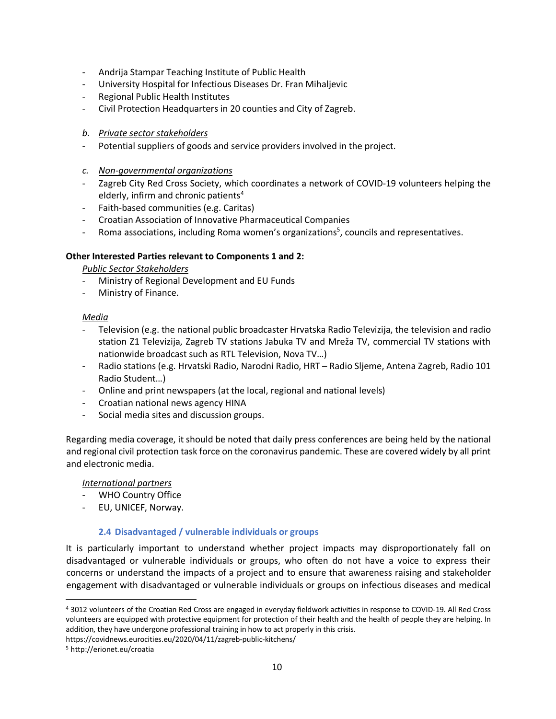- Andrija Stampar Teaching Institute of Public Health
- University Hospital for Infectious Diseases Dr. Fran Mihaljevic
- Regional Public Health Institutes
- Civil Protection Headquarters in 20 counties and City of Zagreb.
- *b. Private sector stakeholders*
- Potential suppliers of goods and service providers involved in the project.
- *c. Non-governmental organizations*
- Zagreb City Red Cross Society, which coordinates a network of COVID-19 volunteers helping the elderly, infirm and chronic patients<sup>4</sup>
- Faith-based communities (e.g. Caritas)
- Croatian Association of Innovative Pharmaceutical Companies
- Roma associations, including Roma women's organizations<sup>5</sup>, councils and representatives.

#### **Other Interested Parties relevant to Components 1 and 2:**

*Public Sector Stakeholders*

- Ministry of Regional Development and EU Funds
- Ministry of Finance.

#### *Media*

- Television (e.g. the national public broadcaster Hrvatska Radio Televizija, the television and radio station Z1 Televizija, Zagreb TV stations Jabuka TV and Mreža TV, commercial TV stations with nationwide broadcast such as RTL Television, Nova TV…)
- Radio stations (e.g. Hrvatski Radio, Narodni Radio, HRT Radio Sljeme, Antena Zagreb, Radio 101 Radio Student…)
- Online and print newspapers (at the local, regional and national levels)
- Croatian national news agency HINA
- Social media sites and discussion groups.

Regarding media coverage, it should be noted that daily press conferences are being held by the national and regional civil protection task force on the coronavirus pandemic. These are covered widely by all print and electronic media.

#### *International partners*

- WHO Country Office
- EU, UNICEF, Norway.

#### **2.4 Disadvantaged / vulnerable individuals or groups**

It is particularly important to understand whether project impacts may disproportionately fall on disadvantaged or vulnerable individuals or groups, who often do not have a voice to express their concerns or understand the impacts of a project and to ensure that awareness raising and stakeholder engagement with disadvantaged or vulnerable individuals or groups on infectious diseases and medical

https://covidnews.eurocities.eu/2020/04/11/zagreb-public-kitchens/

 <sup>4</sup> 3012 volunteers of the Croatian Red Cross are engaged in everyday fieldwork activities in response to COVID-19. All Red Cross volunteers are equipped with protective equipment for protection of their health and the health of people they are helping. In addition, they have undergone professional training in how to act properly in this crisis.

<sup>5</sup> http://erionet.eu/croatia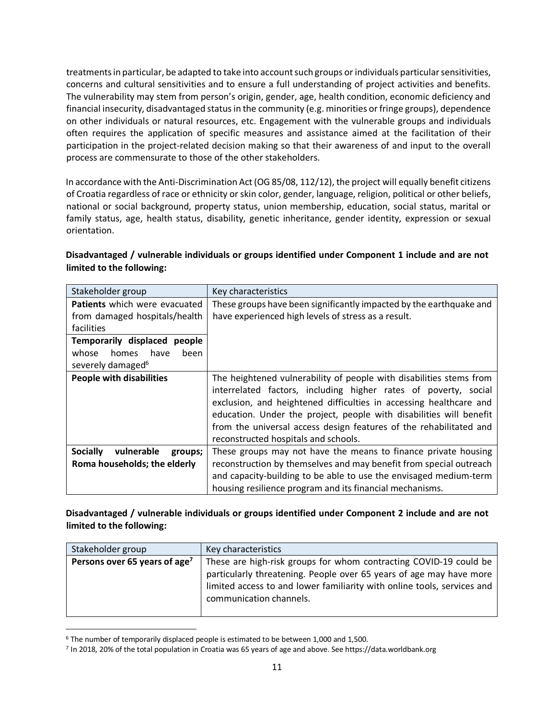treatments in particular, be adapted to take into account such groups or individuals particular sensitivities, concerns and cultural sensitivities and to ensure a full understanding of project activities and benefits. The vulnerability may stem from person's origin, gender, age, health condition, economic deficiency and financial insecurity, disadvantaged status in the community (e.g. minorities or fringe groups), dependence on other individuals or natural resources, etc. Engagement with the vulnerable groups and individuals often requires the application of specific measures and assistance aimed at the facilitation of their participation in the project-related decision making so that their awareness of and input to the overall process are commensurate to those of the other stakeholders.

In accordance with the Anti-Discrimination Act (OG 85/08, 112/12), the project will equally benefit citizens of Croatia regardless of race or ethnicity or skin color, gender, language, religion, political or other beliefs, national or social background, property status, union membership, education, social status, marital or family status, age, health status, disability, genetic inheritance, gender identity, expression or sexual orientation.

| Stakeholder group                        | Key characteristics                                                 |  |  |
|------------------------------------------|---------------------------------------------------------------------|--|--|
| <b>Patients</b> which were evacuated     | These groups have been significantly impacted by the earthquake and |  |  |
| from damaged hospitals/health            | have experienced high levels of stress as a result.                 |  |  |
| facilities                               |                                                                     |  |  |
| Temporarily displaced people             |                                                                     |  |  |
| have<br>been<br>whose<br>homes           |                                                                     |  |  |
| severely damaged <sup>6</sup>            |                                                                     |  |  |
| <b>People with disabilities</b>          | The heightened vulnerability of people with disabilities stems from |  |  |
|                                          | interrelated factors, including higher rates of poverty, social     |  |  |
|                                          | exclusion, and heightened difficulties in accessing healthcare and  |  |  |
|                                          | education. Under the project, people with disabilities will benefit |  |  |
|                                          | from the universal access design features of the rehabilitated and  |  |  |
|                                          | reconstructed hospitals and schools.                                |  |  |
| vulnerable<br><b>Socially</b><br>groups; | These groups may not have the means to finance private housing      |  |  |
| Roma households; the elderly             | reconstruction by themselves and may benefit from special outreach  |  |  |
|                                          | and capacity-building to be able to use the envisaged medium-term   |  |  |
|                                          | housing resilience program and its financial mechanisms.            |  |  |

## **Disadvantaged / vulnerable individuals or groups identified under Component 1 include and are not limited to the following:**

**Disadvantaged / vulnerable individuals or groups identified under Component 2 include and are not limited to the following:** 

| Stakeholder group                         | Key characteristics                                                                                                                                                                                                                            |
|-------------------------------------------|------------------------------------------------------------------------------------------------------------------------------------------------------------------------------------------------------------------------------------------------|
| Persons over 65 years of age <sup>7</sup> | These are high-risk groups for whom contracting COVID-19 could be<br>particularly threatening. People over 65 years of age may have more<br>limited access to and lower familiarity with online tools, services and<br>communication channels. |

 <sup>6</sup> The number of temporarily displaced people is estimated to be between 1,000 and 1,500.

<sup>7</sup> In 2018, 20% of the total population in Croatia was 65 years of age and above. See https://data.worldbank.org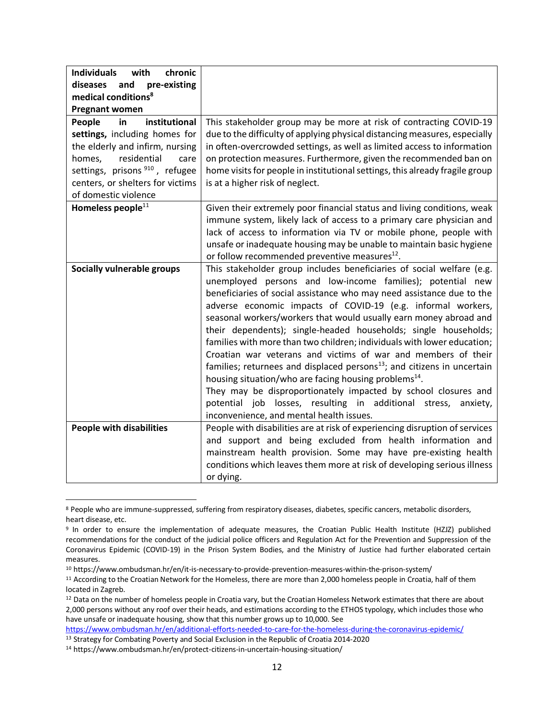| <b>Individuals</b><br>with<br>chronic<br>diseases<br>and<br>pre-existing<br>medical conditions <sup>8</sup><br><b>Pregnant women</b> |                                                                                                                                                                                                                                                                                                                                                                                                                                                                                                                                                                                                                                                                                                                                                                                                                                                                                                                 |
|--------------------------------------------------------------------------------------------------------------------------------------|-----------------------------------------------------------------------------------------------------------------------------------------------------------------------------------------------------------------------------------------------------------------------------------------------------------------------------------------------------------------------------------------------------------------------------------------------------------------------------------------------------------------------------------------------------------------------------------------------------------------------------------------------------------------------------------------------------------------------------------------------------------------------------------------------------------------------------------------------------------------------------------------------------------------|
| institutional<br>People<br>in                                                                                                        | This stakeholder group may be more at risk of contracting COVID-19                                                                                                                                                                                                                                                                                                                                                                                                                                                                                                                                                                                                                                                                                                                                                                                                                                              |
| settings, including homes for                                                                                                        | due to the difficulty of applying physical distancing measures, especially                                                                                                                                                                                                                                                                                                                                                                                                                                                                                                                                                                                                                                                                                                                                                                                                                                      |
| the elderly and infirm, nursing                                                                                                      | in often-overcrowded settings, as well as limited access to information                                                                                                                                                                                                                                                                                                                                                                                                                                                                                                                                                                                                                                                                                                                                                                                                                                         |
| residential<br>homes,<br>care                                                                                                        | on protection measures. Furthermore, given the recommended ban on                                                                                                                                                                                                                                                                                                                                                                                                                                                                                                                                                                                                                                                                                                                                                                                                                                               |
| settings, prisons <sup>910</sup> , refugee                                                                                           | home visits for people in institutional settings, this already fragile group                                                                                                                                                                                                                                                                                                                                                                                                                                                                                                                                                                                                                                                                                                                                                                                                                                    |
| centers, or shelters for victims                                                                                                     | is at a higher risk of neglect.                                                                                                                                                                                                                                                                                                                                                                                                                                                                                                                                                                                                                                                                                                                                                                                                                                                                                 |
| of domestic violence                                                                                                                 |                                                                                                                                                                                                                                                                                                                                                                                                                                                                                                                                                                                                                                                                                                                                                                                                                                                                                                                 |
| Homeless people <sup>11</sup>                                                                                                        | Given their extremely poor financial status and living conditions, weak<br>immune system, likely lack of access to a primary care physician and<br>lack of access to information via TV or mobile phone, people with<br>unsafe or inadequate housing may be unable to maintain basic hygiene<br>or follow recommended preventive measures <sup>12</sup> .                                                                                                                                                                                                                                                                                                                                                                                                                                                                                                                                                       |
| <b>Socially vulnerable groups</b>                                                                                                    | This stakeholder group includes beneficiaries of social welfare (e.g.<br>unemployed persons and low-income families); potential new<br>beneficiaries of social assistance who may need assistance due to the<br>adverse economic impacts of COVID-19 (e.g. informal workers,<br>seasonal workers/workers that would usually earn money abroad and<br>their dependents); single-headed households; single households;<br>families with more than two children; individuals with lower education;<br>Croatian war veterans and victims of war and members of their<br>families; returnees and displaced persons <sup>13</sup> ; and citizens in uncertain<br>housing situation/who are facing housing problems <sup>14</sup> .<br>They may be disproportionately impacted by school closures and<br>potential job losses, resulting in additional stress,<br>anxiety,<br>inconvenience, and mental health issues. |
| <b>People with disabilities</b>                                                                                                      | People with disabilities are at risk of experiencing disruption of services<br>and support and being excluded from health information and<br>mainstream health provision. Some may have pre-existing health<br>conditions which leaves them more at risk of developing serious illness<br>or dying.                                                                                                                                                                                                                                                                                                                                                                                                                                                                                                                                                                                                             |

 <sup>8</sup> People who are immune-suppressed, suffering from respiratory diseases, diabetes, specific cancers, metabolic disorders, heart disease, etc.

<sup>9</sup> In order to ensure the implementation of adequate measures, the Croatian Public Health Institute (HZJZ) published recommendations for the conduct of the judicial police officers and Regulation Act for the Prevention and Suppression of the Coronavirus Epidemic (COVID-19) in the Prison System Bodies, and the Ministry of Justice had further elaborated certain measures.

<sup>10</sup> https://www.ombudsman.hr/en/it-is-necessary-to-provide-prevention-measures-within-the-prison-system/

<sup>11</sup> According to the Croatian Network for the Homeless, there are more than 2,000 homeless people in Croatia, half of them located in Zagreb.

<sup>&</sup>lt;sup>12</sup> Data on the number of homeless people in Croatia vary, but the Croatian Homeless Network estimates that there are about 2,000 persons without any roof over their heads, and estimations according to the ETHOS typology, which includes those who have unsafe or inadequate housing, show that this number grows up to 10,000. See

https://www.ombudsman.hr/en/additional-efforts-needed-to-care-for-the-homeless-during-the-coronavirus-epidemic/ <sup>13</sup> Strategy for Combating Poverty and Social Exclusion in the Republic of Croatia 2014-2020

<sup>14</sup> https://www.ombudsman.hr/en/protect-citizens-in-uncertain-housing-situation/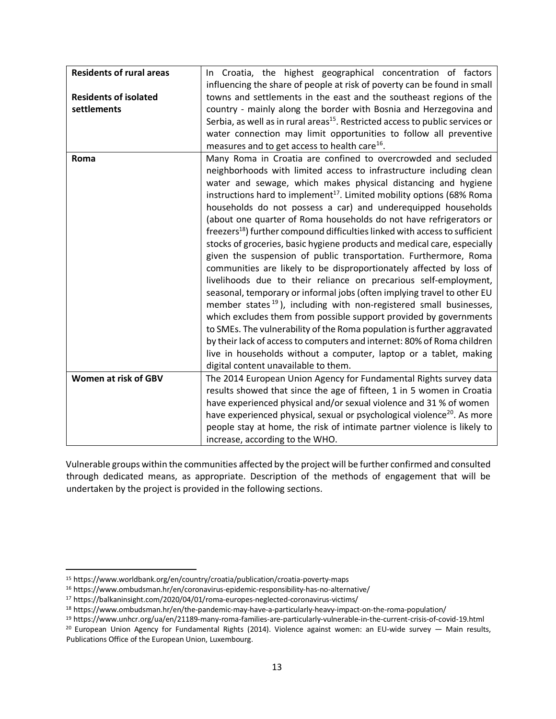| <b>Residents of rural areas</b> | In Croatia, the highest geographical concentration of factors                             |  |  |
|---------------------------------|-------------------------------------------------------------------------------------------|--|--|
|                                 | influencing the share of people at risk of poverty can be found in small                  |  |  |
| <b>Residents of isolated</b>    | towns and settlements in the east and the southeast regions of the                        |  |  |
| settlements                     | country - mainly along the border with Bosnia and Herzegovina and                         |  |  |
|                                 | Serbia, as well as in rural areas <sup>15</sup> . Restricted access to public services or |  |  |
|                                 | water connection may limit opportunities to follow all preventive                         |  |  |
|                                 | measures and to get access to health care <sup>16</sup> .                                 |  |  |
| Roma                            | Many Roma in Croatia are confined to overcrowded and secluded                             |  |  |
|                                 | neighborhoods with limited access to infrastructure including clean                       |  |  |
|                                 | water and sewage, which makes physical distancing and hygiene                             |  |  |
|                                 | instructions hard to implement <sup>17</sup> . Limited mobility options (68% Roma         |  |  |
|                                 | households do not possess a car) and underequipped households                             |  |  |
|                                 | (about one quarter of Roma households do not have refrigerators or                        |  |  |
|                                 | freezers <sup>18</sup> ) further compound difficulties linked with access to sufficient   |  |  |
|                                 | stocks of groceries, basic hygiene products and medical care, especially                  |  |  |
|                                 | given the suspension of public transportation. Furthermore, Roma                          |  |  |
|                                 | communities are likely to be disproportionately affected by loss of                       |  |  |
|                                 | livelihoods due to their reliance on precarious self-employment,                          |  |  |
|                                 | seasonal, temporary or informal jobs (often implying travel to other EU                   |  |  |
|                                 | member states <sup>19</sup> ), including with non-registered small businesses,            |  |  |
|                                 | which excludes them from possible support provided by governments                         |  |  |
|                                 | to SMEs. The vulnerability of the Roma population is further aggravated                   |  |  |
|                                 | by their lack of access to computers and internet: 80% of Roma children                   |  |  |
|                                 | live in households without a computer, laptop or a tablet, making                         |  |  |
|                                 | digital content unavailable to them.                                                      |  |  |
| Women at risk of GBV            | The 2014 European Union Agency for Fundamental Rights survey data                         |  |  |
|                                 | results showed that since the age of fifteen, 1 in 5 women in Croatia                     |  |  |
|                                 | have experienced physical and/or sexual violence and 31 % of women                        |  |  |
|                                 | have experienced physical, sexual or psychological violence <sup>20</sup> . As more       |  |  |
|                                 | people stay at home, the risk of intimate partner violence is likely to                   |  |  |
|                                 | increase, according to the WHO.                                                           |  |  |

Vulnerable groups within the communities affected by the project will be further confirmed and consulted through dedicated means, as appropriate. Description of the methods of engagement that will be undertaken by the project is provided in the following sections.

 <sup>15</sup> https://www.worldbank.org/en/country/croatia/publication/croatia-poverty-maps

<sup>16</sup> https://www.ombudsman.hr/en/coronavirus-epidemic-responsibility-has-no-alternative/

<sup>17</sup> https://balkaninsight.com/2020/04/01/roma-europes-neglected-coronavirus-victims/

<sup>18</sup> https://www.ombudsman.hr/en/the-pandemic-may-have-a-particularly-heavy-impact-on-the-roma-population/

<sup>19</sup> https://www.unhcr.org/ua/en/21189-many-roma-families-are-particularly-vulnerable-in-the-current-crisis-of-covid-19.html

<sup>&</sup>lt;sup>20</sup> European Union Agency for Fundamental Rights (2014). Violence against women: an EU-wide survey - Main results, Publications Office of the European Union, Luxembourg.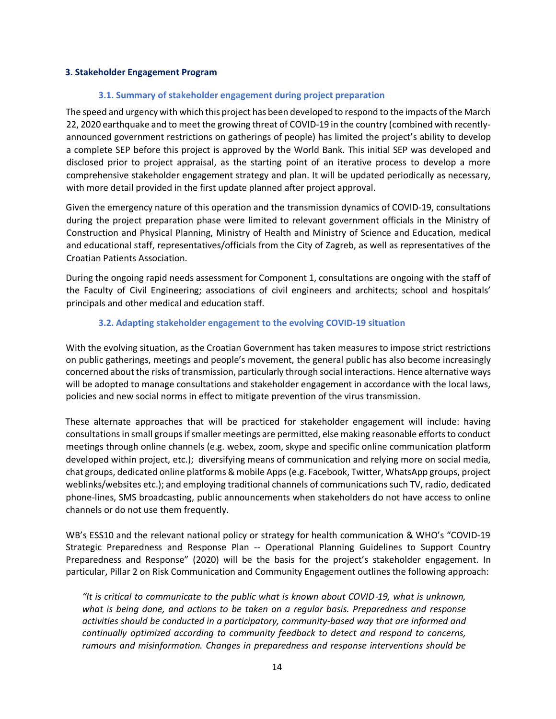#### **3. Stakeholder Engagement Program**

#### **3.1. Summary of stakeholder engagement during project preparation**

The speed and urgency with which this project has been developed to respond to the impacts of the March 22, 2020 earthquake and to meet the growing threat of COVID-19 in the country (combined with recentlyannounced government restrictions on gatherings of people) has limited the project's ability to develop a complete SEP before this project is approved by the World Bank. This initial SEP was developed and disclosed prior to project appraisal, as the starting point of an iterative process to develop a more comprehensive stakeholder engagement strategy and plan. It will be updated periodically as necessary, with more detail provided in the first update planned after project approval.

Given the emergency nature of this operation and the transmission dynamics of COVID-19, consultations during the project preparation phase were limited to relevant government officials in the Ministry of Construction and Physical Planning, Ministry of Health and Ministry of Science and Education, medical and educational staff, representatives/officials from the City of Zagreb, as well as representatives of the Croatian Patients Association.

During the ongoing rapid needs assessment for Component 1, consultations are ongoing with the staff of the Faculty of Civil Engineering; associations of civil engineers and architects; school and hospitals' principals and other medical and education staff.

#### **3.2. Adapting stakeholder engagement to the evolving COVID-19 situation**

With the evolving situation, as the Croatian Government has taken measures to impose strict restrictions on public gatherings, meetings and people's movement, the general public has also become increasingly concerned about the risks of transmission, particularly through social interactions. Hence alternative ways will be adopted to manage consultations and stakeholder engagement in accordance with the local laws, policies and new social norms in effect to mitigate prevention of the virus transmission.

These alternate approaches that will be practiced for stakeholder engagement will include: having consultations in small groups if smaller meetings are permitted, else making reasonable efforts to conduct meetings through online channels (e.g. webex, zoom, skype and specific online communication platform developed within project, etc.); diversifying means of communication and relying more on social media, chat groups, dedicated online platforms & mobile Apps (e.g. Facebook, Twitter, WhatsApp groups, project weblinks/websites etc.); and employing traditional channels of communications such TV, radio, dedicated phone-lines, SMS broadcasting, public announcements when stakeholders do not have access to online channels or do not use them frequently.

WB's ESS10 and the relevant national policy or strategy for health communication & WHO's "COVID-19 Strategic Preparedness and Response Plan -- Operational Planning Guidelines to Support Country Preparedness and Response" (2020) will be the basis for the project's stakeholder engagement. In particular, Pillar 2 on Risk Communication and Community Engagement outlines the following approach:

*"It is critical to communicate to the public what is known about COVID*-*19, what is unknown, what is being done, and actions to be taken on a regular basis. Preparedness and response activities should be conducted in a participatory, community-based way that are informed and continually optimized according to community feedback to detect and respond to concerns, rumours and misinformation. Changes in preparedness and response interventions should be*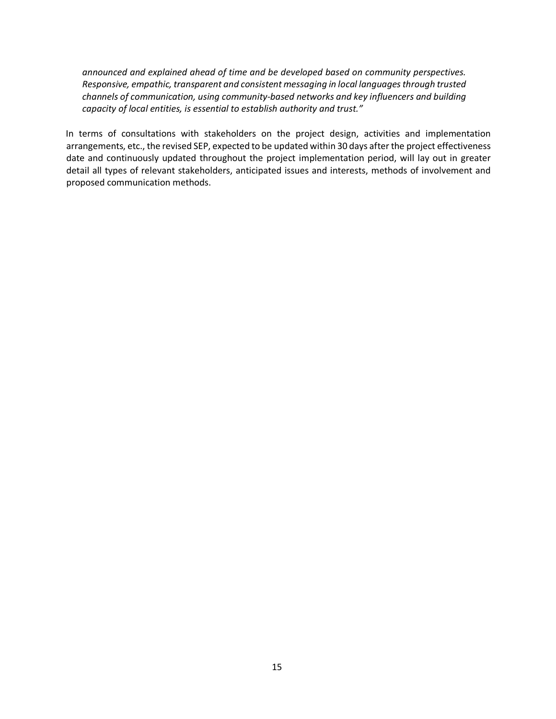*announced and explained ahead of time and be developed based on community perspectives. Responsive, empathic, transparent and consistent messaging in local languages through trusted channels of communication, using community-based networks and key influencers and building capacity of local entities, is essential to establish authority and trust."*

In terms of consultations with stakeholders on the project design, activities and implementation arrangements, etc., the revised SEP, expected to be updated within 30 days after the project effectiveness date and continuously updated throughout the project implementation period, will lay out in greater detail all types of relevant stakeholders, anticipated issues and interests, methods of involvement and proposed communication methods.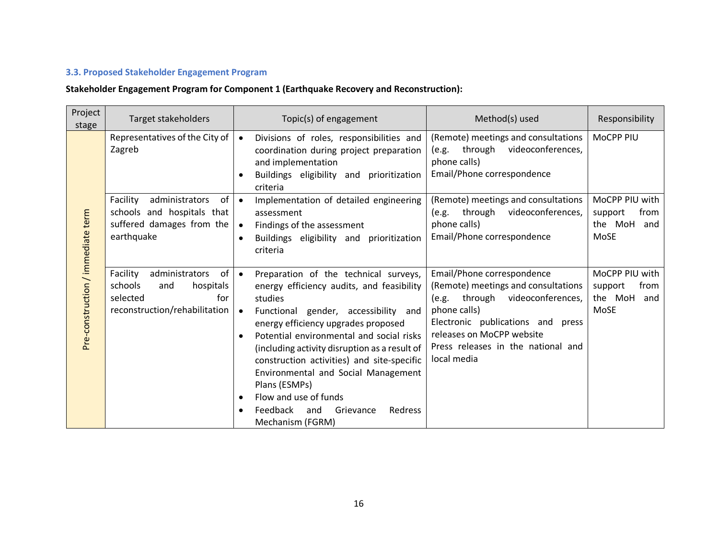## **3.3. Proposed Stakeholder Engagement Program**

## **Stakeholder Engagement Program for Component 1 (Earthquake Recovery and Reconstruction):**

| Project<br>stage                  | Target stakeholders                                                                                                 | Topic(s) of engagement                                                                                                                                                                                                                                                                                                                                                                                                                                                                                      | Method(s) used                                                                                                                                                                                                                              | Responsibility                                              |
|-----------------------------------|---------------------------------------------------------------------------------------------------------------------|-------------------------------------------------------------------------------------------------------------------------------------------------------------------------------------------------------------------------------------------------------------------------------------------------------------------------------------------------------------------------------------------------------------------------------------------------------------------------------------------------------------|---------------------------------------------------------------------------------------------------------------------------------------------------------------------------------------------------------------------------------------------|-------------------------------------------------------------|
|                                   | Representatives of the City of<br>Zagreb                                                                            | Divisions of roles, responsibilities and<br>$\bullet$<br>coordination during project preparation<br>and implementation<br>Buildings eligibility and prioritization<br>criteria                                                                                                                                                                                                                                                                                                                              | (Remote) meetings and consultations<br>through videoconferences,<br>(e.g.<br>phone calls)<br>Email/Phone correspondence                                                                                                                     | MoCPP PIU                                                   |
|                                   | Facility<br>of<br>administrators<br>schools and hospitals that<br>suffered damages from the<br>earthquake           | Implementation of detailed engineering<br>$\bullet$<br>assessment<br>Findings of the assessment<br>$\bullet$<br>Buildings eligibility and prioritization<br>$\bullet$<br>criteria                                                                                                                                                                                                                                                                                                                           | (Remote) meetings and consultations<br>(e.g. through videoconferences,<br>phone calls)<br>Email/Phone correspondence                                                                                                                        | MoCPP PIU with<br>from<br>support<br>the MoH<br>and<br>MoSE |
| Pre-construction / immediate term | of<br>Facility<br>administrators<br>schools<br>hospitals<br>and<br>for<br>selected<br>reconstruction/rehabilitation | Preparation of the technical surveys,<br>$\bullet$<br>energy efficiency audits, and feasibility<br>studies<br>Functional gender, accessibility and<br>$\bullet$<br>energy efficiency upgrades proposed<br>Potential environmental and social risks<br>$\bullet$<br>(including activity disruption as a result of<br>construction activities) and site-specific<br>Environmental and Social Management<br>Plans (ESMPs)<br>Flow and use of funds<br>Feedback and<br>Grievance<br>Redress<br>Mechanism (FGRM) | Email/Phone correspondence<br>(Remote) meetings and consultations<br>(e.g. through videoconferences,<br>phone calls)<br>Electronic publications and press<br>releases on MoCPP website<br>Press releases in the national and<br>local media | MoCPP PIU with<br>from<br>support<br>the MoH<br>and<br>MoSE |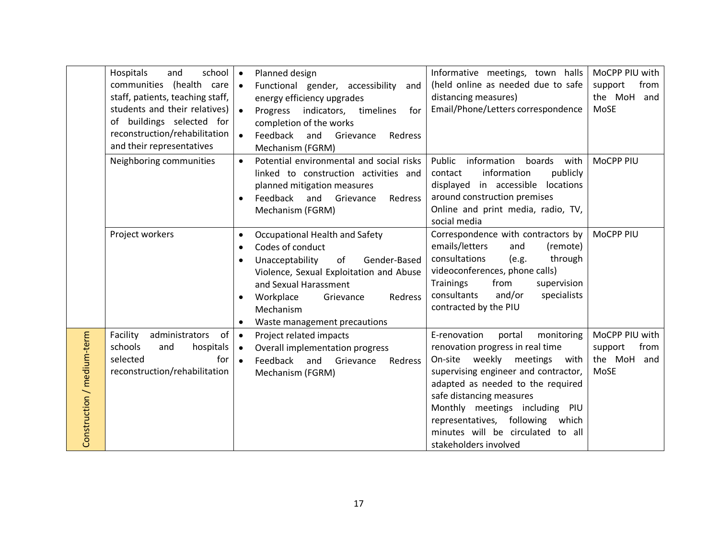|                            | Hospitals<br>school<br>and<br>communities (health care<br>staff, patients, teaching staff,<br>students and their relatives)<br>of buildings selected for<br>reconstruction/rehabilitation<br>and their representatives | Planned design<br>$\bullet$<br>Functional gender, accessibility<br>$\bullet$<br>and<br>energy efficiency upgrades<br>$\bullet$<br>Progress indicators,<br>timelines<br>for<br>completion of the works<br>$\bullet$<br>Feedback<br>and<br>Grievance<br>Redress<br>Mechanism (FGRM) | Informative meetings, town halls<br>(held online as needed due to safe<br>distancing measures)<br>Email/Phone/Letters correspondence                                                                                                                                                                                                                           | MoCPP PIU with<br>from<br>support<br>the MoH<br>and<br>MoSE |
|----------------------------|------------------------------------------------------------------------------------------------------------------------------------------------------------------------------------------------------------------------|-----------------------------------------------------------------------------------------------------------------------------------------------------------------------------------------------------------------------------------------------------------------------------------|----------------------------------------------------------------------------------------------------------------------------------------------------------------------------------------------------------------------------------------------------------------------------------------------------------------------------------------------------------------|-------------------------------------------------------------|
|                            | Neighboring communities                                                                                                                                                                                                | Potential environmental and social risks<br>$\bullet$<br>linked to construction activities and<br>planned mitigation measures<br>Feedback<br>and<br>Grievance<br>Redress<br>Mechanism (FGRM)                                                                                      | Public<br>information<br>boards<br>with<br>information<br>publicly<br>contact<br>displayed in accessible locations<br>around construction premises<br>Online and print media, radio, TV,<br>social media                                                                                                                                                       | MoCPP PIU                                                   |
|                            | Project workers                                                                                                                                                                                                        | Occupational Health and Safety<br>$\bullet$<br>Codes of conduct<br>$\bullet$<br>Unacceptability<br>of<br>Gender-Based<br>Violence, Sexual Exploitation and Abuse<br>and Sexual Harassment<br>Workplace<br>Grievance<br>Redress<br>Mechanism<br>Waste management precautions       | Correspondence with contractors by<br>emails/letters<br>and<br>(remote)<br>consultations<br>(e.g.<br>through<br>videoconferences, phone calls)<br><b>Trainings</b><br>from<br>supervision<br>and/or<br>consultants<br>specialists<br>contracted by the PIU                                                                                                     | MoCPP PIU                                                   |
| Construction / medium-term | administrators<br>of<br>Facility<br>schools<br>hospitals<br>and<br>for<br>selected<br>reconstruction/rehabilitation                                                                                                    | Project related impacts<br>$\bullet$<br>Overall implementation progress<br>$\bullet$<br>Feedback<br>and<br>Grievance<br>$\bullet$<br>Redress<br>Mechanism (FGRM)                                                                                                                  | E-renovation<br>portal<br>monitoring<br>renovation progress in real time<br>weekly meetings<br>On-site<br>with<br>supervising engineer and contractor,<br>adapted as needed to the required<br>safe distancing measures<br>Monthly meetings including PIU<br>representatives, following<br>which<br>minutes will be circulated to all<br>stakeholders involved | MoCPP PIU with<br>from<br>support<br>the MoH<br>and<br>MoSE |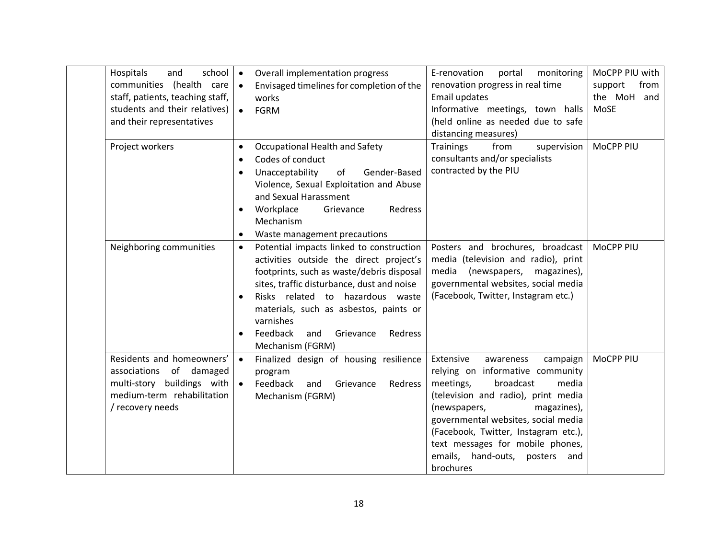| Hospitals<br>school<br>and<br>communities (health care<br>staff, patients, teaching staff,<br>students and their relatives)<br>and their representatives | Overall implementation progress<br>$\bullet$<br>Envisaged timelines for completion of the<br>$\bullet$<br>works<br><b>FGRM</b><br>$\bullet$                                                                                                                                                                                                                        | E-renovation<br>portal<br>monitoring<br>renovation progress in real time<br>Email updates<br>Informative meetings, town halls<br>(held online as needed due to safe<br>distancing measures)                                                                                                                                                          | MoCPP PIU with<br>support<br>from<br>the MoH<br>and<br>MoSE |
|----------------------------------------------------------------------------------------------------------------------------------------------------------|--------------------------------------------------------------------------------------------------------------------------------------------------------------------------------------------------------------------------------------------------------------------------------------------------------------------------------------------------------------------|------------------------------------------------------------------------------------------------------------------------------------------------------------------------------------------------------------------------------------------------------------------------------------------------------------------------------------------------------|-------------------------------------------------------------|
| Project workers                                                                                                                                          | Occupational Health and Safety<br>$\bullet$<br>Codes of conduct<br>Unacceptability<br>of<br>Gender-Based<br>Violence, Sexual Exploitation and Abuse<br>and Sexual Harassment<br>Workplace<br>Redress<br>Grievance<br>$\bullet$<br>Mechanism<br>Waste management precautions<br>$\bullet$                                                                           | <b>Trainings</b><br>from<br>supervision<br>consultants and/or specialists<br>contracted by the PIU                                                                                                                                                                                                                                                   | MoCPP PIU                                                   |
| Neighboring communities                                                                                                                                  | Potential impacts linked to construction<br>$\bullet$<br>activities outside the direct project's<br>footprints, such as waste/debris disposal<br>sites, traffic disturbance, dust and noise<br>Risks related to hazardous waste<br>$\bullet$<br>materials, such as asbestos, paints or<br>varnishes<br>Feedback<br>and<br>Grievance<br>Redress<br>Mechanism (FGRM) | Posters and brochures, broadcast<br>media (television and radio), print<br>media<br>magazines),<br>(newspapers,<br>governmental websites, social media<br>(Facebook, Twitter, Instagram etc.)                                                                                                                                                        | MoCPP PIU                                                   |
| Residents and homeowners'<br>associations of damaged<br>multi-story buildings with<br>medium-term rehabilitation<br>/ recovery needs                     | Finalized design of housing resilience<br>$\bullet$<br>program<br>Feedback<br>$\bullet$<br>Grievance<br>and<br>Redress<br>Mechanism (FGRM)                                                                                                                                                                                                                         | Extensive<br>campaign<br>awareness<br>relying on informative community<br>broadcast<br>meetings,<br>media<br>(television and radio), print media<br>(newspapers,<br>magazines),<br>governmental websites, social media<br>(Facebook, Twitter, Instagram etc.),<br>text messages for mobile phones,<br>emails, hand-outs, posters<br>and<br>brochures | MoCPP PIU                                                   |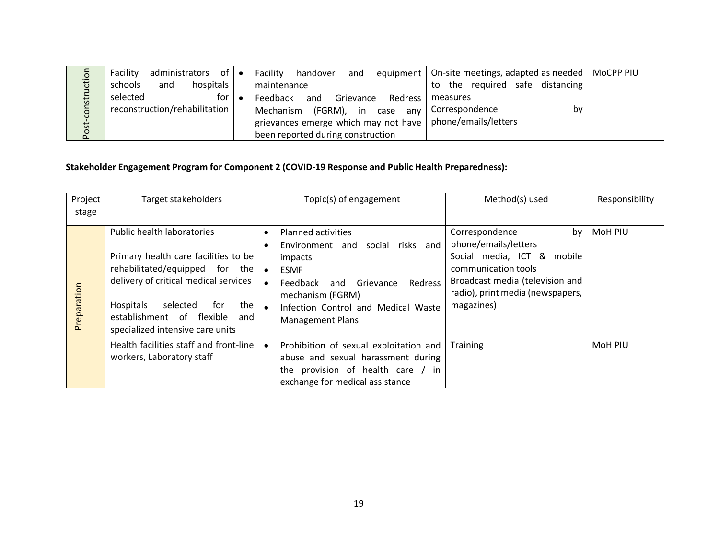|               | administrators of $\bullet$<br>Facility |           | Facility<br>handover<br>and                                 | equipment   On-site meetings, adapted as needed   MoCPP PIU |  |
|---------------|-----------------------------------------|-----------|-------------------------------------------------------------|-------------------------------------------------------------|--|
| <b>Iction</b> | hospitals<br>and<br>schools             |           | maintenance                                                 | the required safe distancing<br>to                          |  |
| ┙             | for I<br>selected                       | $\bullet$ | Feedback<br>and<br>Grievance<br>Redress l                   | measures                                                    |  |
| constr        | reconstruction/rehabilitation           |           | (FGRM), in<br>Mechanism<br>case any                         | Correspondence<br>bv                                        |  |
|               |                                         |           | grievances emerge which may not have   phone/emails/letters |                                                             |  |
| Post-         |                                         |           | been reported during construction                           |                                                             |  |

## **Stakeholder Engagement Program for Component 2 (COVID-19 Response and Public Health Preparedness):**

| Project<br>stage | <b>Target stakeholders</b>                                                                                                                                                                                                                                   | Topic(s) of engagement                                                                                                                                                                                                                                | Method(s) used                                                                                                                                                                         | Responsibility |
|------------------|--------------------------------------------------------------------------------------------------------------------------------------------------------------------------------------------------------------------------------------------------------------|-------------------------------------------------------------------------------------------------------------------------------------------------------------------------------------------------------------------------------------------------------|----------------------------------------------------------------------------------------------------------------------------------------------------------------------------------------|----------------|
| Preparation      | Public health laboratories<br>Primary health care facilities to be<br>rehabilitated/equipped for the<br>delivery of critical medical services<br>the<br>Hospitals<br>selected<br>tor<br>establishment of flexible<br>and<br>specialized intensive care units | <b>Planned activities</b><br>social risks and<br>Environment and<br>impacts<br><b>ESMF</b><br>$\bullet$<br>Feedback<br>Grievance<br>Redress<br>and<br>mechanism (FGRM)<br>Infection Control and Medical Waste<br>$\bullet$<br><b>Management Plans</b> | Correspondence<br>by<br>phone/emails/letters<br>Social media, ICT & mobile<br>communication tools<br>Broadcast media (television and<br>radio), print media (newspapers,<br>magazines) | MoH PIU        |
|                  | Health facilities staff and front-line<br>workers, Laboratory staff                                                                                                                                                                                          | Prohibition of sexual exploitation and<br>abuse and sexual harassment during<br>the provision of health care / in<br>exchange for medical assistance                                                                                                  | <b>Training</b>                                                                                                                                                                        | MoH PIU        |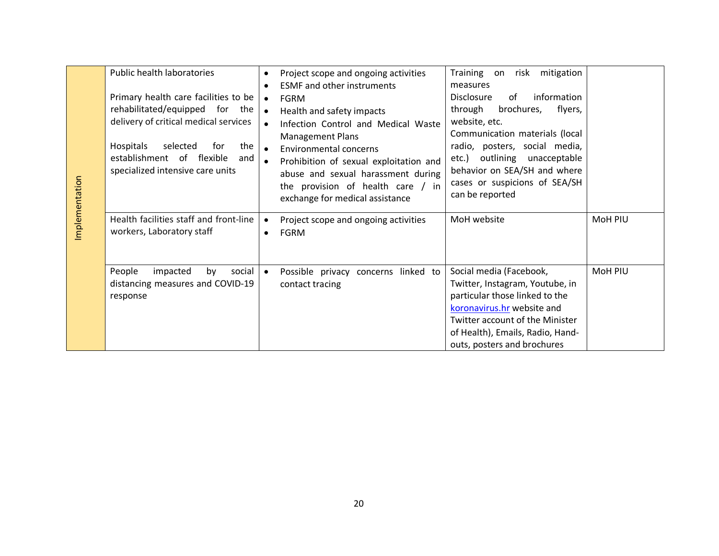| Implementation | Public health laboratories<br>Primary health care facilities to be<br>rehabilitated/equipped for the<br>delivery of critical medical services<br>the<br>Hospitals<br>selected<br>for<br>establishment of flexible<br>and<br>specialized intensive care units<br>Health facilities staff and front-line<br>workers, Laboratory staff | $\bullet$<br>$\bullet$<br>$\bullet$<br>$\bullet$ | Project scope and ongoing activities<br><b>ESMF</b> and other instruments<br><b>FGRM</b><br>Health and safety impacts<br>Infection Control and Medical Waste<br><b>Management Plans</b><br><b>Environmental concerns</b><br>Prohibition of sexual exploitation and<br>abuse and sexual harassment during<br>the provision of health care / in<br>exchange for medical assistance<br>Project scope and ongoing activities<br><b>FGRM</b> | Training on risk mitigation<br>measures<br>information<br><b>Disclosure</b><br>of<br>through<br>flyers,<br>brochures,<br>website, etc.<br>Communication materials (local<br>radio, posters, social media,<br>etc.) outlining unacceptable<br>behavior on SEA/SH and where<br>cases or suspicions of SEA/SH<br>can be reported<br>MoH website | MoH PIU |
|----------------|-------------------------------------------------------------------------------------------------------------------------------------------------------------------------------------------------------------------------------------------------------------------------------------------------------------------------------------|--------------------------------------------------|-----------------------------------------------------------------------------------------------------------------------------------------------------------------------------------------------------------------------------------------------------------------------------------------------------------------------------------------------------------------------------------------------------------------------------------------|----------------------------------------------------------------------------------------------------------------------------------------------------------------------------------------------------------------------------------------------------------------------------------------------------------------------------------------------|---------|
|                | People<br>impacted<br>by<br>social<br>distancing measures and COVID-19<br>response                                                                                                                                                                                                                                                  | $\bullet$                                        | Possible privacy concerns linked to<br>contact tracing                                                                                                                                                                                                                                                                                                                                                                                  | Social media (Facebook,<br>Twitter, Instagram, Youtube, in<br>particular those linked to the<br>koronavirus.hr website and<br><b>Twitter account of the Minister</b><br>of Health), Emails, Radio, Hand-<br>outs, posters and brochures                                                                                                      | MoH PIU |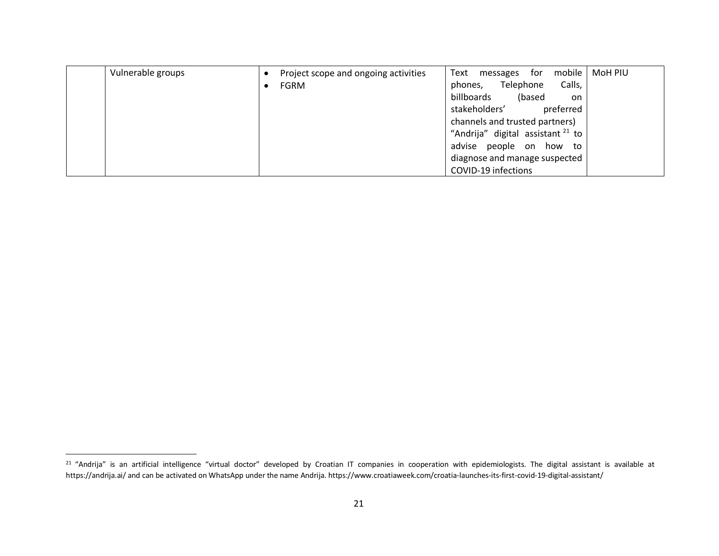| Vulnerable groups | Project scope and ongoing activities | Text<br>mobile  <br>MoH PIU<br>for<br>messages |
|-------------------|--------------------------------------|------------------------------------------------|
|                   | <b>FGRM</b>                          | Telephone<br>Calls,<br>phones,                 |
|                   |                                      | billboards<br>(based<br>on                     |
|                   |                                      | stakeholders'<br>preferred                     |
|                   |                                      | channels and trusted partners)                 |
|                   |                                      | "Andrija" digital assistant <sup>21</sup> to   |
|                   |                                      | advise people on how to                        |
|                   |                                      | diagnose and manage suspected                  |
|                   |                                      | COVID-19 infections                            |

<sup>&</sup>lt;sup>21</sup> "Andrija" is an artificial intelligence "virtual doctor" developed by Croatian IT companies in cooperation with epidemiologists. The digital assistant is available at https://andrija.ai/ and can be activated on WhatsApp under the name Andrija. https://www.croatiaweek.com/croatia-launches-its-first-covid-19-digital-assistant/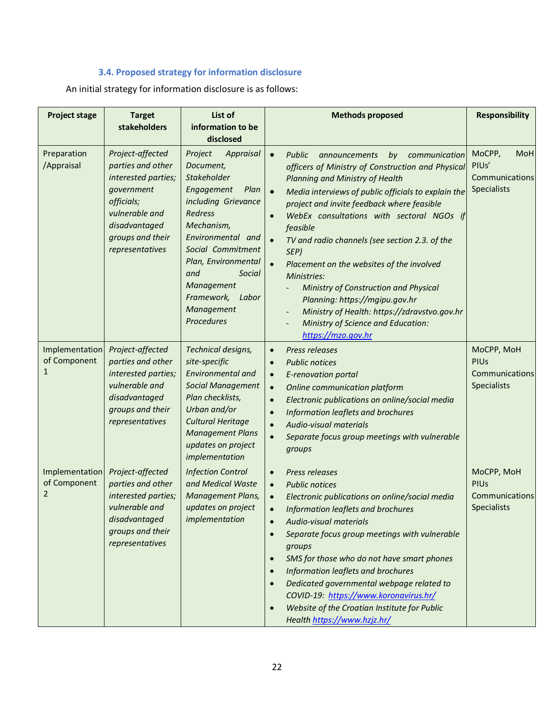## **3.4. Proposed strategy for information disclosure**

An initial strategy for information disclosure is as follows:

| <b>Project stage</b>                | <b>Target</b><br>stakeholders                                                                                                                                      | List of<br>information to be<br>disclosed                                                                                                                                                                                                                                               | <b>Methods proposed</b>                                                                                                                                                                                                                                                                                                                                                                                                                                                                                                                                                                                                                  | <b>Responsibility</b>                                             |
|-------------------------------------|--------------------------------------------------------------------------------------------------------------------------------------------------------------------|-----------------------------------------------------------------------------------------------------------------------------------------------------------------------------------------------------------------------------------------------------------------------------------------|------------------------------------------------------------------------------------------------------------------------------------------------------------------------------------------------------------------------------------------------------------------------------------------------------------------------------------------------------------------------------------------------------------------------------------------------------------------------------------------------------------------------------------------------------------------------------------------------------------------------------------------|-------------------------------------------------------------------|
| Preparation<br>/Appraisal           | Project-affected<br>parties and other<br>interested parties;<br>government<br>officials;<br>vulnerable and<br>disadvantaged<br>groups and their<br>representatives | Project<br>Appraisal<br>Document,<br>Stakeholder<br>Engagement<br>Plan<br>including Grievance<br><b>Redress</b><br>Mechanism,<br>Environmental and<br>Social Commitment<br>Plan, Environmental<br>and<br>Social<br>Management<br>Framework,<br>Labor<br>Management<br><b>Procedures</b> | Public<br>$\bullet$<br>announcements<br>by communication<br>officers of Ministry of Construction and Physical<br>Planning and Ministry of Health<br>$\bullet$<br>Media interviews of public officials to explain the<br>project and invite feedback where feasible<br>WebEx consultations with sectoral NGOs if<br>feasible<br>TV and radio channels (see section 2.3. of the<br>SEP)<br>Placement on the websites of the involved<br>Ministries:<br>Ministry of Construction and Physical<br>Planning: https://mgipu.gov.hr<br>Ministry of Health: https://zdravstvo.gov.hr<br>Ministry of Science and Education:<br>https://mzo.gov.hr | MoCPP,<br>MoH<br>PIUs'<br>Communications<br><b>Specialists</b>    |
| Implementation<br>of Component<br>1 | Project-affected<br>parties and other<br>interested parties;<br>vulnerable and<br>disadvantaged<br>groups and their<br>representatives                             | Technical designs,<br>site-specific<br><b>Environmental and</b><br><b>Social Management</b><br>Plan checklists,<br>Urban and/or<br><b>Cultural Heritage</b><br><b>Management Plans</b><br>updates on project<br>implementation                                                          | Press releases<br>$\bullet$<br><b>Public notices</b><br>E-renovation portal<br>$\bullet$<br>Online communication platform<br>$\bullet$<br>Electronic publications on online/social media<br>$\bullet$<br>Information leaflets and brochures<br>Audio-visual materials<br>Separate focus group meetings with vulnerable<br>groups                                                                                                                                                                                                                                                                                                         | MoCPP, MoH<br><b>PIUs</b><br>Communications<br>Specialists        |
| Implementation<br>of Component<br>2 | Project-affected<br>parties and other<br>interested parties;<br>vulnerable and<br>disadvantaged<br>groups and their<br>representatives                             | <b>Infection Control</b><br>and Medical Waste<br>Management Plans,<br>updates on project<br>implementation                                                                                                                                                                              | Press releases<br>$\bullet$<br><b>Public notices</b><br>$\bullet$<br>Electronic publications on online/social media<br>Information leaflets and brochures<br>Audio-visual materials<br>$\bullet$<br>Separate focus group meetings with vulnerable<br>groups<br>SMS for those who do not have smart phones<br>$\bullet$<br>Information leaflets and brochures<br>Dedicated governmental webpage related to<br>COVID-19: https://www.koronavirus.hr/<br>Website of the Croatian Institute for Public<br>Health https://www.hzjz.hr/                                                                                                        | MoCPP, MoH<br><b>PIUs</b><br>Communications<br><b>Specialists</b> |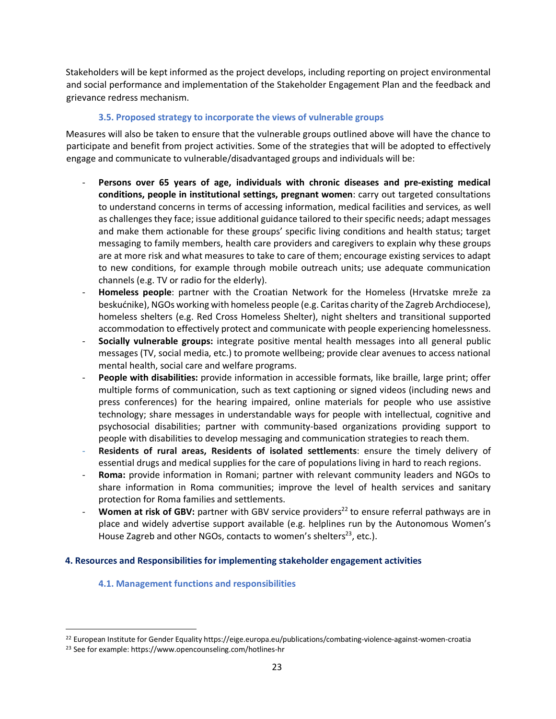Stakeholders will be kept informed as the project develops, including reporting on project environmental and social performance and implementation of the Stakeholder Engagement Plan and the feedback and grievance redress mechanism.

#### **3.5. Proposed strategy to incorporate the views of vulnerable groups**

Measures will also be taken to ensure that the vulnerable groups outlined above will have the chance to participate and benefit from project activities. Some of the strategies that will be adopted to effectively engage and communicate to vulnerable/disadvantaged groups and individuals will be:

- Persons over 65 years of age, individuals with chronic diseases and pre-existing medical **conditions, people in institutional settings, pregnant women**: carry out targeted consultations to understand concerns in terms of accessing information, medical facilities and services, as well as challenges they face; issue additional guidance tailored to their specific needs; adapt messages and make them actionable for these groups' specific living conditions and health status; target messaging to family members, health care providers and caregivers to explain why these groups are at more risk and what measures to take to care of them; encourage existing services to adapt to new conditions, for example through mobile outreach units; use adequate communication channels (e.g. TV or radio for the elderly).
- **Homeless people**: partner with the Croatian Network for the Homeless (Hrvatske mreže za beskućnike), NGOs working with homeless people (e.g. Caritas charity of the Zagreb Archdiocese), homeless shelters (e.g. Red Cross Homeless Shelter), night shelters and transitional supported accommodation to effectively protect and communicate with people experiencing homelessness.
- **Socially vulnerable groups:** integrate positive mental health messages into all general public messages (TV, social media, etc.) to promote wellbeing; provide clear avenues to access national mental health, social care and welfare programs.
- **People with disabilities:** provide information in accessible formats, like braille, large print; offer multiple forms of communication, such as text captioning or signed videos (including news and press conferences) for the hearing impaired, online materials for people who use assistive technology; share messages in understandable ways for people with intellectual, cognitive and psychosocial disabilities; partner with community-based organizations providing support to people with disabilities to develop messaging and communication strategies to reach them.
- **Residents of rural areas, Residents of isolated settlements**: ensure the timely delivery of essential drugs and medical supplies for the care of populations living in hard to reach regions.
- **Roma:** provide information in Romani; partner with relevant community leaders and NGOs to share information in Roma communities; improve the level of health services and sanitary protection for Roma families and settlements.
- Women at risk of GBV: partner with GBV service providers<sup>22</sup> to ensure referral pathways are in place and widely advertise support available (e.g. helplines run by the Autonomous Women's House Zagreb and other NGOs, contacts to women's shelters<sup>23</sup>, etc.).

#### **4. Resources and Responsibilities for implementing stakeholder engagement activities**

#### **4.1. Management functions and responsibilities**

<sup>&</sup>lt;sup>22</sup> European Institute for Gender Equality https://eige.europa.eu/publications/combating-violence-against-women-croatia

<sup>23</sup> See for example: https://www.opencounseling.com/hotlines-hr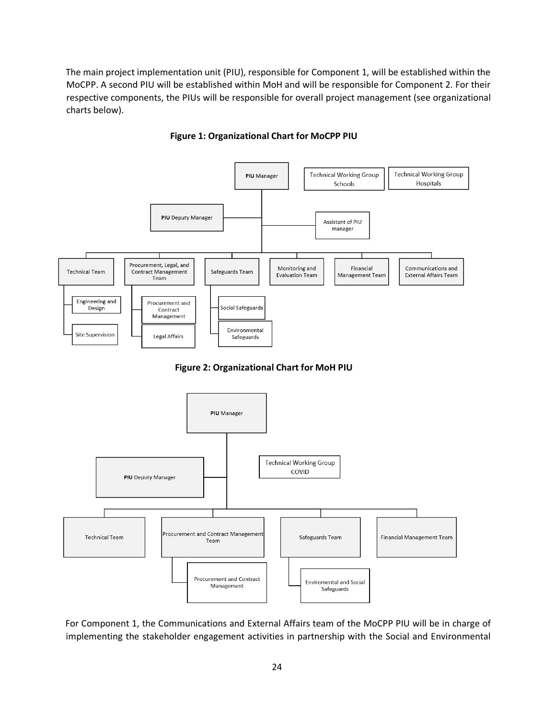The main project implementation unit (PIU), responsible for Component 1, will be established within the MoCPP. A second PIU will be established within MoH and will be responsible for Component 2. For their respective components, the PIUs will be responsible for overall project management (see organizational charts below).



**Figure 1: Organizational Chart for MoCPP PIU**

**Figure 2: Organizational Chart for MoH PIU**



For Component 1, the Communications and External Affairs team of the MoCPP PIU will be in charge of implementing the stakeholder engagement activities in partnership with the Social and Environmental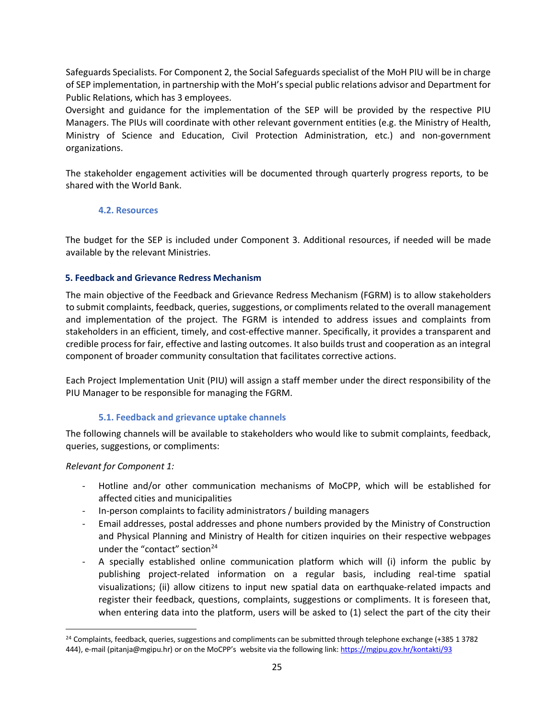Safeguards Specialists. For Component 2, the Social Safeguards specialist of the MoH PIU will be in charge of SEP implementation, in partnership with the MoH's special public relations advisor and Department for Public Relations, which has 3 employees.

Oversight and guidance for the implementation of the SEP will be provided by the respective PIU Managers. The PIUs will coordinate with other relevant government entities (e.g. the Ministry of Health, Ministry of Science and Education, Civil Protection Administration, etc.) and non-government organizations.

The stakeholder engagement activities will be documented through quarterly progress reports, to be shared with the World Bank.

#### **4.2. Resources**

The budget for the SEP is included under Component 3. Additional resources, if needed will be made available by the relevant Ministries.

#### **5. Feedback and Grievance Redress Mechanism**

The main objective of the Feedback and Grievance Redress Mechanism (FGRM) is to allow stakeholders to submit complaints, feedback, queries, suggestions, or compliments related to the overall management and implementation of the project. The FGRM is intended to address issues and complaints from stakeholders in an efficient, timely, and cost-effective manner. Specifically, it provides a transparent and credible process for fair, effective and lasting outcomes. It also builds trust and cooperation as an integral component of broader community consultation that facilitates corrective actions.

Each Project Implementation Unit (PIU) will assign a staff member under the direct responsibility of the PIU Manager to be responsible for managing the FGRM.

#### **5.1. Feedback and grievance uptake channels**

The following channels will be available to stakeholders who would like to submit complaints, feedback, queries, suggestions, or compliments:

*Relevant for Component 1:* 

- Hotline and/or other communication mechanisms of MoCPP, which will be established for affected cities and municipalities
- In-person complaints to facility administrators / building managers
- Email addresses, postal addresses and phone numbers provided by the Ministry of Construction and Physical Planning and Ministry of Health for citizen inquiries on their respective webpages under the "contact" section $24$
- A specially established online communication platform which will (i) inform the public by publishing project-related information on a regular basis, including real-time spatial visualizations; (ii) allow citizens to input new spatial data on earthquake-related impacts and register their feedback, questions, complaints, suggestions or compliments. It is foreseen that, when entering data into the platform, users will be asked to (1) select the part of the city their

<sup>&</sup>lt;sup>24</sup> Complaints, feedback, queries, suggestions and compliments can be submitted through telephone exchange (+385 1 3782 444), e-mail (pitanja@mgipu.hr) or on the MoCPP's website via the following link: https://mgipu.gov.hr/kontakti/93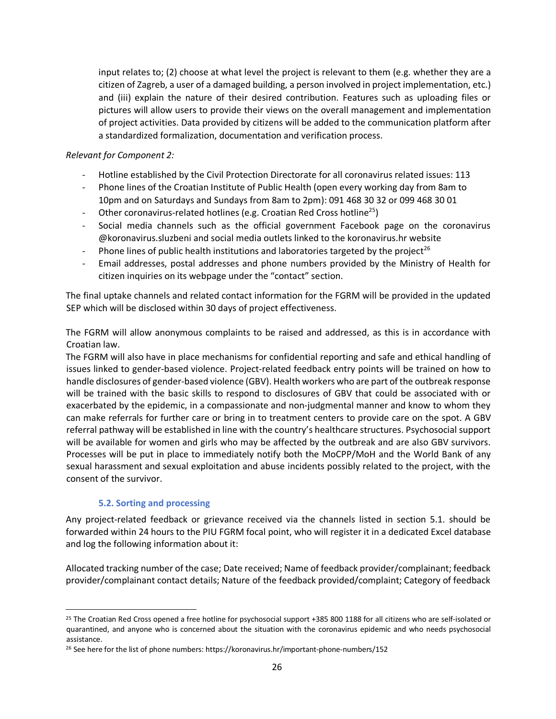input relates to; (2) choose at what level the project is relevant to them (e.g. whether they are a citizen of Zagreb, a user of a damaged building, a person involved in project implementation, etc.) and (iii) explain the nature of their desired contribution. Features such as uploading files or pictures will allow users to provide their views on the overall management and implementation of project activities. Data provided by citizens will be added to the communication platform after a standardized formalization, documentation and verification process.

#### *Relevant for Component 2:*

- Hotline established by the Civil Protection Directorate for all coronavirus related issues: 113
- Phone lines of the Croatian Institute of Public Health (open every working day from 8am to 10pm and on Saturdays and Sundays from 8am to 2pm): 091 468 30 32 or 099 468 30 01
- Other coronavirus-related hotlines (e.g. Croatian Red Cross hotline<sup>25</sup>)
- Social media channels such as the official government Facebook page on the coronavirus @koronavirus.sluzbeni and social media outlets linked to the koronavirus.hr website
- Phone lines of public health institutions and laboratories targeted by the project<sup>26</sup>
- Email addresses, postal addresses and phone numbers provided by the Ministry of Health for citizen inquiries on its webpage under the "contact" section.

The final uptake channels and related contact information for the FGRM will be provided in the updated SEP which will be disclosed within 30 days of project effectiveness.

The FGRM will allow anonymous complaints to be raised and addressed, as this is in accordance with Croatian law.

The FGRM will also have in place mechanisms for confidential reporting and safe and ethical handling of issues linked to gender-based violence. Project-related feedback entry points will be trained on how to handle disclosures of gender-based violence (GBV). Health workers who are part of the outbreak response will be trained with the basic skills to respond to disclosures of GBV that could be associated with or exacerbated by the epidemic, in a compassionate and non-judgmental manner and know to whom they can make referrals for further care or bring in to treatment centers to provide care on the spot. A GBV referral pathway will be established in line with the country's healthcare structures. Psychosocial support will be available for women and girls who may be affected by the outbreak and are also GBV survivors. Processes will be put in place to immediately notify both the MoCPP/MoH and the World Bank of any sexual harassment and sexual exploitation and abuse incidents possibly related to the project, with the consent of the survivor.

#### **5.2. Sorting and processing**

Any project-related feedback or grievance received via the channels listed in section 5.1. should be forwarded within 24 hours to the PIU FGRM focal point, who will register it in a dedicated Excel database and log the following information about it:

Allocated tracking number of the case; Date received; Name of feedback provider/complainant; feedback provider/complainant contact details; Nature of the feedback provided/complaint; Category of feedback

 <sup>25</sup> The Croatian Red Cross opened a free hotline for psychosocial support +385 800 1188 for all citizens who are self-isolated or quarantined, and anyone who is concerned about the situation with the coronavirus epidemic and who needs psychosocial assistance.

<sup>&</sup>lt;sup>26</sup> See here for the list of phone numbers: https://koronavirus.hr/important-phone-numbers/152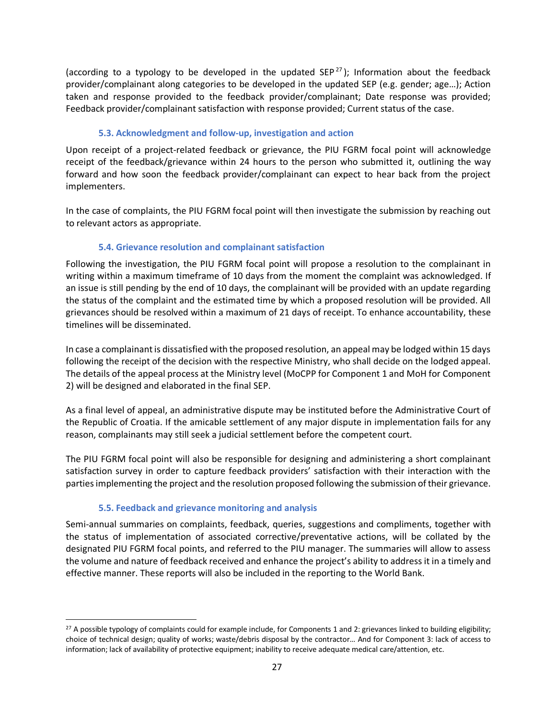(according to a typology to be developed in the updated SEP<sup>27</sup>); Information about the feedback provider/complainant along categories to be developed in the updated SEP (e.g. gender; age…); Action taken and response provided to the feedback provider/complainant; Date response was provided; Feedback provider/complainant satisfaction with response provided; Current status of the case.

#### **5.3. Acknowledgment and follow-up, investigation and action**

Upon receipt of a project-related feedback or grievance, the PIU FGRM focal point will acknowledge receipt of the feedback/grievance within 24 hours to the person who submitted it, outlining the way forward and how soon the feedback provider/complainant can expect to hear back from the project implementers.

In the case of complaints, the PIU FGRM focal point will then investigate the submission by reaching out to relevant actors as appropriate.

#### **5.4. Grievance resolution and complainant satisfaction**

Following the investigation, the PIU FGRM focal point will propose a resolution to the complainant in writing within a maximum timeframe of 10 days from the moment the complaint was acknowledged. If an issue is still pending by the end of 10 days, the complainant will be provided with an update regarding the status of the complaint and the estimated time by which a proposed resolution will be provided. All grievances should be resolved within a maximum of 21 days of receipt. To enhance accountability, these timelines will be disseminated.

In case a complainant is dissatisfied with the proposed resolution, an appeal may be lodged within 15 days following the receipt of the decision with the respective Ministry, who shall decide on the lodged appeal. The details of the appeal process at the Ministry level (MoCPP for Component 1 and MoH for Component 2) will be designed and elaborated in the final SEP.

As a final level of appeal, an administrative dispute may be instituted before the Administrative Court of the Republic of Croatia. If the amicable settlement of any major dispute in implementation fails for any reason, complainants may still seek a judicial settlement before the competent court.

The PIU FGRM focal point will also be responsible for designing and administering a short complainant satisfaction survey in order to capture feedback providers' satisfaction with their interaction with the parties implementing the project and the resolution proposed following the submission of their grievance.

#### **5.5. Feedback and grievance monitoring and analysis**

Semi-annual summaries on complaints, feedback, queries, suggestions and compliments, together with the status of implementation of associated corrective/preventative actions, will be collated by the designated PIU FGRM focal points, and referred to the PIU manager. The summaries will allow to assess the volume and nature of feedback received and enhance the project's ability to address it in a timely and effective manner. These reports will also be included in the reporting to the World Bank.

<sup>&</sup>lt;sup>27</sup> A possible typology of complaints could for example include, for Components 1 and 2: grievances linked to building eligibility; choice of technical design; quality of works; waste/debris disposal by the contractor… And for Component 3: lack of access to information; lack of availability of protective equipment; inability to receive adequate medical care/attention, etc.